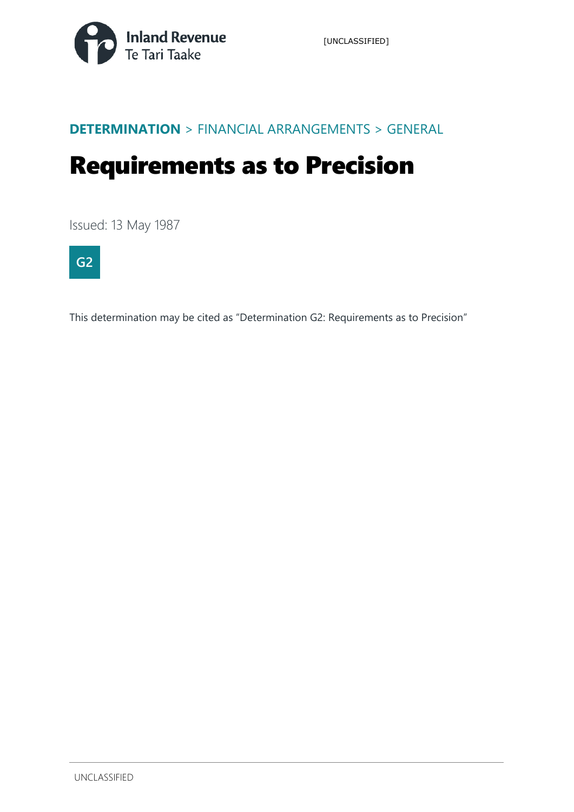

#### **DETERMINATION** > FINANCIAL ARRANGEMENTS > GENERAL

# Requirements as to Precision

Issued: 13 May 1987



This determination may be cited as "Determination G2: Requirements as to Precision"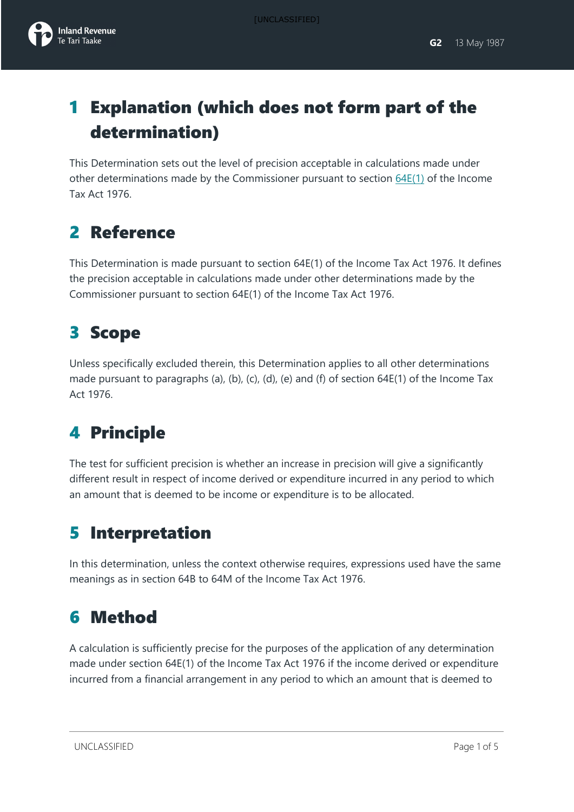# 1 Explanation (which does not form part of the determination)

This Determination sets out the level of precision acceptable in calculations made under other determinations made by the Commissioner pursuant to section [64E\(1\)](javascript:void(0)) of the Income Tax Act 1976.

# 2 Reference

This Determination is made pursuant to section 64E(1) of the Income Tax Act 1976. It defines the precision acceptable in calculations made under other determinations made by the Commissioner pursuant to section 64E(1) of the Income Tax Act 1976.

# 3 Scope

Unless specifically excluded therein, this Determination applies to all other determinations made pursuant to paragraphs (a), (b), (c), (d), (e) and (f) of section 64E(1) of the Income Tax Act 1976.

# 4 Principle

The test for sufficient precision is whether an increase in precision will give a significantly different result in respect of income derived or expenditure incurred in any period to which an amount that is deemed to be income or expenditure is to be allocated.

### 5 Interpretation

In this determination, unless the context otherwise requires, expressions used have the same meanings as in section 64B to 64M of the Income Tax Act 1976.

### 6 Method

A calculation is sufficiently precise for the purposes of the application of any determination made under section 64E(1) of the Income Tax Act 1976 if the income derived or expenditure incurred from a financial arrangement in any period to which an amount that is deemed to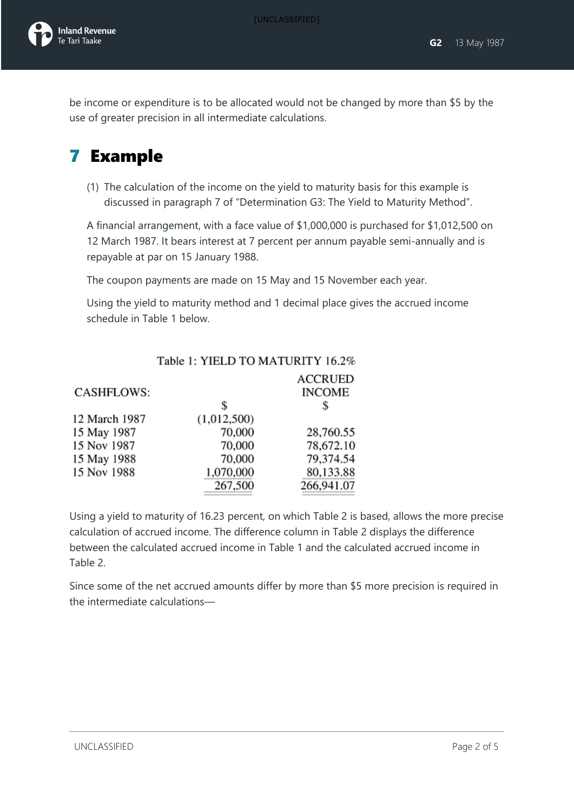[UNCLASSIFIED]

be income or expenditure is to be allocated would not be changed by more than \$5 by the use of greater precision in all intermediate calculations.

### 7 Example

(1) The calculation of the income on the yield to maturity basis for this example is discussed in paragraph 7 of "Determination G3: The Yield to Maturity Method".

A financial arrangement, with a face value of \$1,000,000 is purchased for \$1,012,500 on 12 March 1987. It bears interest at 7 percent per annum payable semi-annually and is repayable at par on 15 January 1988.

The coupon payments are made on 15 May and 15 November each year.

Using the yield to maturity method and 1 decimal place gives the accrued income schedule in Table 1 below.

#### Table 1: YIELD TO MATURITY 16.2%

|               |             | <b>ACCRUED</b> |
|---------------|-------------|----------------|
| CASHFLOWS:    |             | <b>INCOME</b>  |
|               | \$          | \$             |
| 12 March 1987 | (1,012,500) |                |
| 15 May 1987   | 70,000      | 28,760.55      |
| 15 Nov 1987   | 70,000      | 78,672.10      |
| 15 May 1988   | 70,000      | 79,374.54      |
| 15 Nov 1988   | 1,070,000   | 80,133.88      |
|               | 267,500     | 266,941.07     |

Using a yield to maturity of 16.23 percent, on which Table 2 is based, allows the more precise calculation of accrued income. The difference column in Table 2 displays the difference between the calculated accrued income in Table 1 and the calculated accrued income in Table 2.

Since some of the net accrued amounts differ by more than \$5 more precision is required in the intermediate calculations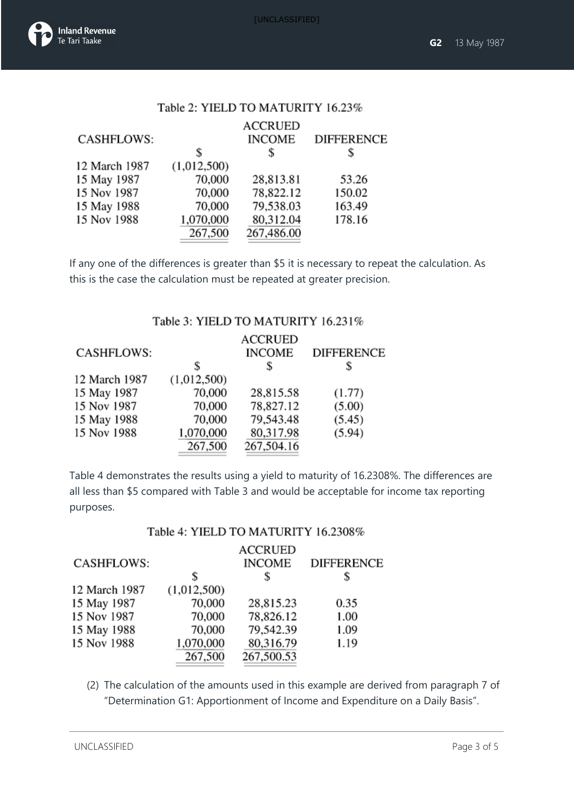[UNCLASSIFIED]

|  | Table 2: YIELD TO MATURITY 16.23% |  |  |  |  |  |
|--|-----------------------------------|--|--|--|--|--|
|--|-----------------------------------|--|--|--|--|--|

|                   |             | <b>ACCRUED</b> |                   |
|-------------------|-------------|----------------|-------------------|
| <b>CASHFLOWS:</b> |             | <b>INCOME</b>  | <b>DIFFERENCE</b> |
|                   | S           | \$             |                   |
| 12 March 1987     | (1,012,500) |                |                   |
| 15 May 1987       | 70,000      | 28,813.81      | 53.26             |
| 15 Nov 1987       | 70,000      | 78,822.12      | 150.02            |
| 15 May 1988       | 70,000      | 79,538.03      | 163.49            |
| 15 Nov 1988       | 1,070,000   | 80,312.04      | 178.16            |
|                   | 267,500     | 267,486.00     |                   |
|                   |             |                |                   |

If any one of the differences is greater than \$5 it is necessary to repeat the calculation. As this is the case the calculation must be repeated at greater precision.

#### Table 3: YIELD TO MATURITY 16.231%

|               |             | <b>ACCRUED</b> |                   |
|---------------|-------------|----------------|-------------------|
| CASHFLOWS:    |             | <b>INCOME</b>  | <b>DIFFERENCE</b> |
|               | S           | S              |                   |
| 12 March 1987 | (1,012,500) |                |                   |
| 15 May 1987   | 70,000      | 28,815.58      | (1.77)            |
| 15 Nov 1987   | 70,000      | 78,827.12      | (5.00)            |
| 15 May 1988   | 70,000      | 79,543.48      | (5.45)            |
| 15 Nov 1988   | 1,070,000   | 80,317.98      | (5.94)            |
|               | 267,500     | 267,504.16     |                   |
|               |             |                |                   |

Table 4 demonstrates the results using a yield to maturity of 16.2308%. The differences are all less than \$5 compared with Table 3 and would be acceptable for income tax reporting purposes.

#### Table 4: YIELD TO MATURITY 16.2308%

| <b>CASHFLOWS:</b> |             | <b>ACCRUED</b><br><b>INCOME</b> | <b>DIFFERENCE</b> |
|-------------------|-------------|---------------------------------|-------------------|
|                   | \$          | \$                              | \$                |
| 12 March 1987     | (1,012,500) |                                 |                   |
| 15 May 1987       | 70,000      | 28,815.23                       | 0.35              |
| 15 Nov 1987       | 70,000      | 78,826.12                       | 1.00              |
| 15 May 1988       | 70,000      | 79,542.39                       | 1.09              |
| 15 Nov 1988       | 1,070,000   | 80,316.79                       | 1.19              |
|                   | 267,500     | 267,500.53                      |                   |
|                   |             |                                 |                   |

(2) The calculation of the amounts used in this example are derived from paragraph 7 of "Determination G1: Apportionment of Income and Expenditure on a Daily Basis".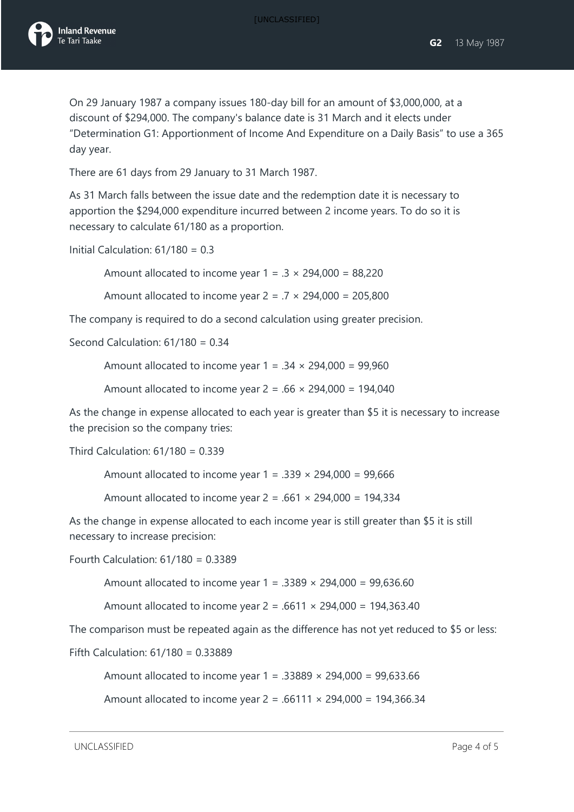[UNCLASSIFIED]

On 29 January 1987 a company issues 180-day bill for an amount of \$3,000,000, at a discount of \$294,000. The company's balance date is 31 March and it elects under "Determination G1: Apportionment of Income And Expenditure on a Daily Basis" to use a 365 day year.

There are 61 days from 29 January to 31 March 1987.

As 31 March falls between the issue date and the redemption date it is necessary to apportion the \$294,000 expenditure incurred between 2 income years. To do so it is necessary to calculate 61/180 as a proportion.

Initial Calculation: 61/180 = 0.3

Amount allocated to income year  $1 = .3 \times 294,000 = 88,220$ 

Amount allocated to income year  $2 = .7 \times 294,000 = 205,800$ 

The company is required to do a second calculation using greater precision.

Second Calculation: 61/180 = 0.34

Amount allocated to income year  $1 = .34 \times 294,000 = 99,960$ 

Amount allocated to income year  $2 = .66 \times 294,000 = 194,040$ 

As the change in expense allocated to each year is greater than \$5 it is necessary to increase the precision so the company tries:

Third Calculation: 61/180 = 0.339

Amount allocated to income year  $1 = .339 \times 294,000 = 99,666$ 

Amount allocated to income year  $2 = .661 \times 294,000 = 194,334$ 

As the change in expense allocated to each income year is still greater than \$5 it is still necessary to increase precision:

Fourth Calculation: 61/180 = 0.3389

Amount allocated to income year  $1 = .3389 \times 294,000 = 99,636.60$ 

Amount allocated to income year  $2 = .6611 \times 294,000 = 194,363.40$ 

The comparison must be repeated again as the difference has not yet reduced to \$5 or less:

Fifth Calculation: 61/180 = 0.33889

Amount allocated to income year 1 = .33889 × 294,000 = 99,633.66

Amount allocated to income year  $2 = .66111 \times 294,000 = 194,366.34$